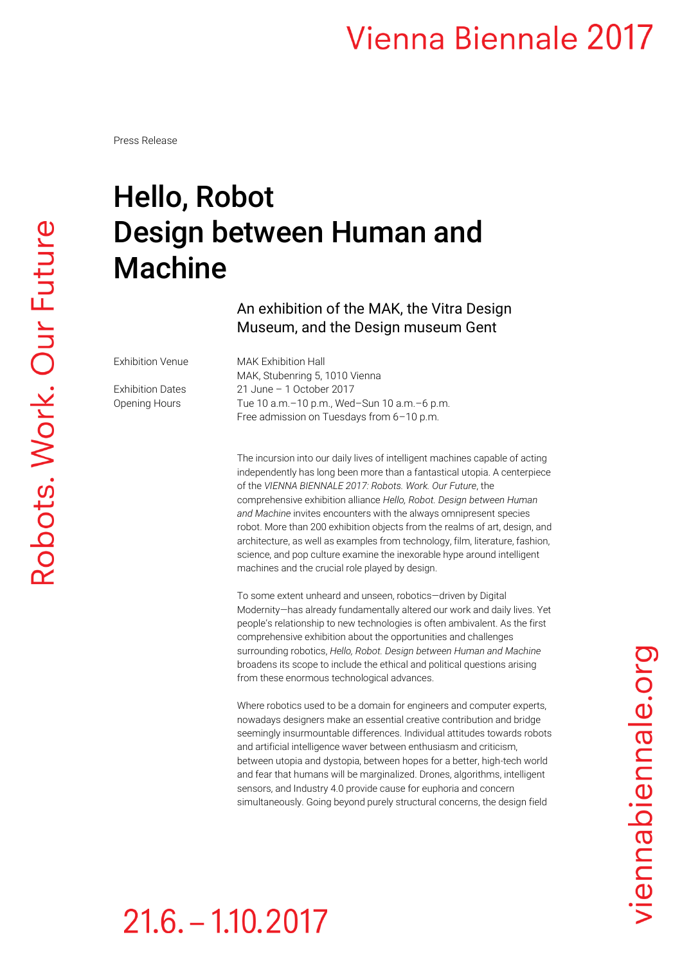Press Release

# Robots. Work. Our Future

## Hello, Robot Design between Human and Machine

An exhibition of the MAK, the Vitra Design Museum, and the Design museum Gent

Exhibition Venue MAK Exhibition Hall

MAK, Stubenring 5, 1010 Vienna Exhibition Dates 21 June – 1 October 2017 Opening Hours Tue 10 a.m.–10 p.m., Wed–Sun 10 a.m.–6 p.m. Free admission on Tuesdays from 6–10 p.m.

> The incursion into our daily lives of intelligent machines capable of acting independently has long been more than a fantastical utopia. A centerpiece of the *VIENNA BIENNALE 2017: Robots. Work. Our Future*, the comprehensive exhibition alliance *Hello, Robot. Design between Human and Machine* invites encounters with the always omnipresent species robot. More than 200 exhibition objects from the realms of art, design, and architecture, as well as examples from technology, film, literature, fashion, science, and pop culture examine the inexorable hype around intelligent machines and the crucial role played by design.

> To some extent unheard and unseen, robotics—driven by Digital Modernity—has already fundamentally altered our work and daily lives. Yet people's relationship to new technologies is often ambivalent. As the first comprehensive exhibition about the opportunities and challenges surrounding robotics, *Hello, Robot. Design between Human and Machine* broadens its scope to include the ethical and political questions arising from these enormous technological advances.

> Where robotics used to be a domain for engineers and computer experts, nowadays designers make an essential creative contribution and bridge seemingly insurmountable differences. Individual attitudes towards robots and artificial intelligence waver between enthusiasm and criticism, between utopia and dystopia, between hopes for a better, high-tech world and fear that humans will be marginalized. Drones, algorithms, intelligent sensors, and Industry 4.0 provide cause for euphoria and concern simultaneously. Going beyond purely structural concerns, the design field

## $21.6 - 1.10.2017$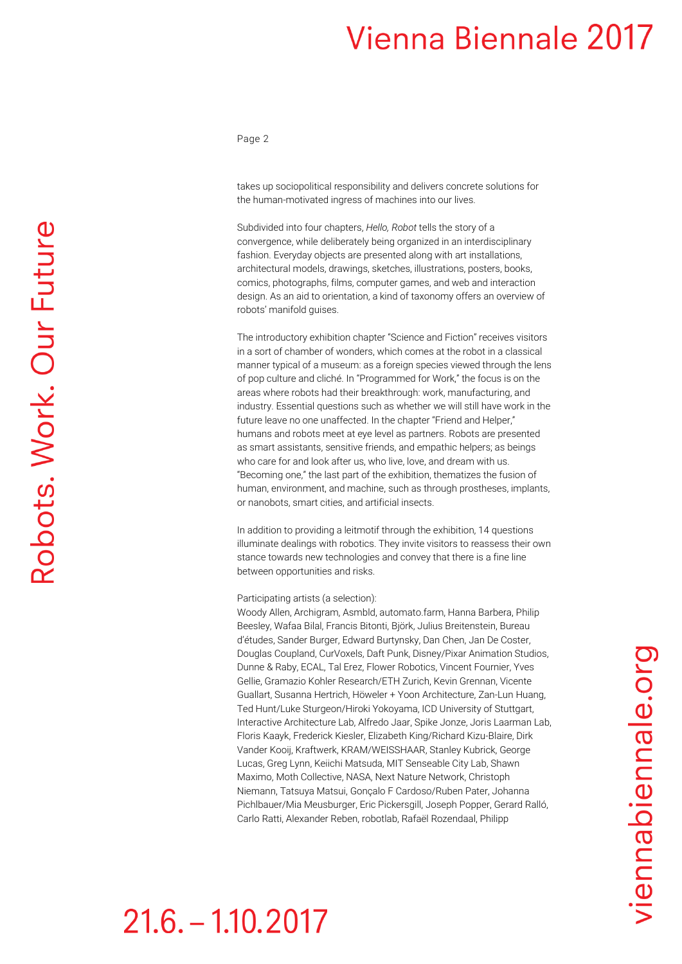Page 2

takes up sociopolitical responsibility and delivers concrete solutions for the human-motivated ingress of machines into our lives.

Subdivided into four chapters, *Hello, Robot* tells the story of a convergence, while deliberately being organized in an interdisciplinary fashion. Everyday objects are presented along with art installations, architectural models, drawings, sketches, illustrations, posters, books, comics, photographs, films, computer games, and web and interaction design. As an aid to orientation, a kind of taxonomy offers an overview of robots' manifold guises.

The introductory exhibition chapter "Science and Fiction" receives visitors in a sort of chamber of wonders, which comes at the robot in a classical manner typical of a museum: as a foreign species viewed through the lens of pop culture and cliché. In "Programmed for Work," the focus is on the areas where robots had their breakthrough: work, manufacturing, and industry. Essential questions such as whether we will still have work in the future leave no one unaffected. In the chapter "Friend and Helper," humans and robots meet at eye level as partners. Robots are presented as smart assistants, sensitive friends, and empathic helpers; as beings who care for and look after us, who live, love, and dream with us. "Becoming one," the last part of the exhibition, thematizes the fusion of human, environment, and machine, such as through prostheses, implants, or nanobots, smart cities, and artificial insects.

In addition to providing a leitmotif through the exhibition, 14 questions illuminate dealings with robotics. They invite visitors to reassess their own stance towards new technologies and convey that there is a fine line between opportunities and risks.

### Participating artists (a selection):

 $21.6 - 1.10.2017$ 

Woody Allen, Archigram, Asmbld, automato.farm, Hanna Barbera, Philip Beesley, Wafaa Bilal, Francis Bitonti, Björk, Julius Breitenstein, Bureau d'études, Sander Burger, Edward Burtynsky, Dan Chen, Jan De Coster, Douglas Coupland, CurVoxels, Daft Punk, Disney/Pixar Animation Studios, Dunne & Raby, ECAL, Tal Erez, Flower Robotics, Vincent Fournier, Yves Gellie, Gramazio Kohler Research/ETH Zurich, Kevin Grennan, Vicente Guallart, Susanna Hertrich, Höweler + Yoon Architecture, Zan-Lun Huang, Ted Hunt/Luke Sturgeon/Hiroki Yokoyama, ICD University of Stuttgart, Interactive Architecture Lab, Alfredo Jaar, Spike Jonze, Joris Laarman Lab, Floris Kaayk, Frederick Kiesler, Elizabeth King/Richard Kizu-Blaire, Dirk Vander Kooij, Kraftwerk, KRAM/WEISSHAAR, Stanley Kubrick, George Lucas, Greg Lynn, Keiichi Matsuda, MIT Senseable City Lab, Shawn Maximo, Moth Collective, NASA, Next Nature Network, Christoph Niemann, Tatsuya Matsui, Gonçalo F Cardoso/Ruben Pater, Johanna Pichlbauer/Mia Meusburger, Eric Pickersgill, Joseph Popper, Gerard Ralló, Carlo Ratti, Alexander Reben, robotlab, Rafaël Rozendaal, Philipp

## viennabiennale.org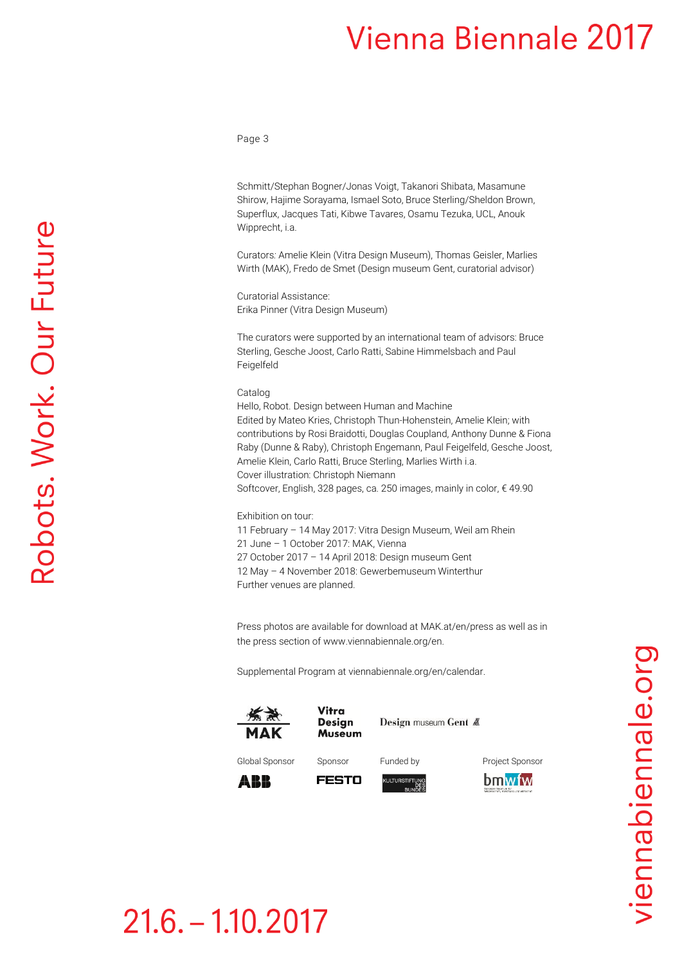Page 3

Schmitt/Stephan Bogner/Jonas Voigt, Takanori Shibata, Masamune Shirow, Hajime Sorayama, Ismael Soto, Bruce Sterling/Sheldon Brown, Superflux, Jacques Tati, Kibwe Tavares, Osamu Tezuka, UCL, Anouk Wipprecht, i.a.

Curators*:* Amelie Klein (Vitra Design Museum), Thomas Geisler, Marlies Wirth (MAK), Fredo de Smet (Design museum Gent, curatorial advisor)

Curatorial Assistance: Erika Pinner (Vitra Design Museum)

The curators were supported by an international team of advisors: Bruce Sterling, Gesche Joost, Carlo Ratti, Sabine Himmelsbach and Paul Feigelfeld

Catalog

Hello, Robot. Design between Human and Machine Edited by Mateo Kries, Christoph Thun-Hohenstein, Amelie Klein; with contributions by Rosi Braidotti, Douglas Coupland, Anthony Dunne & Fiona Raby (Dunne & Raby), Christoph Engemann, Paul Feigelfeld, Gesche Joost, Amelie Klein, Carlo Ratti, Bruce Sterling, Marlies Wirth i.a. Cover illustration: Christoph Niemann Softcover, English, 328 pages, ca. 250 images, mainly in color, € 49.90

Exhibition on tour: 11 February – 14 May 2017: Vitra Design Museum, Weil am Rhein 21 June – 1 October 2017: MAK, Vienna 27 October 2017 – 14 April 2018: Design museum Gent 12 May – 4 November 2018: Gewerbemuseum Winterthur

Further venues are planned.

Press photos are available for download at MAK.at/en/press as well as in the press section o[f www.viennabiennale.org/](http://www.viennabiennale.org/)en.

Supplemental Program at viennabiennale.org/en/calendar.





**FESTO** 



Design museum Gent &

Global Sponsor Sponsor Funded by Project Sponsor







## $21.6 - 1.10.2017$